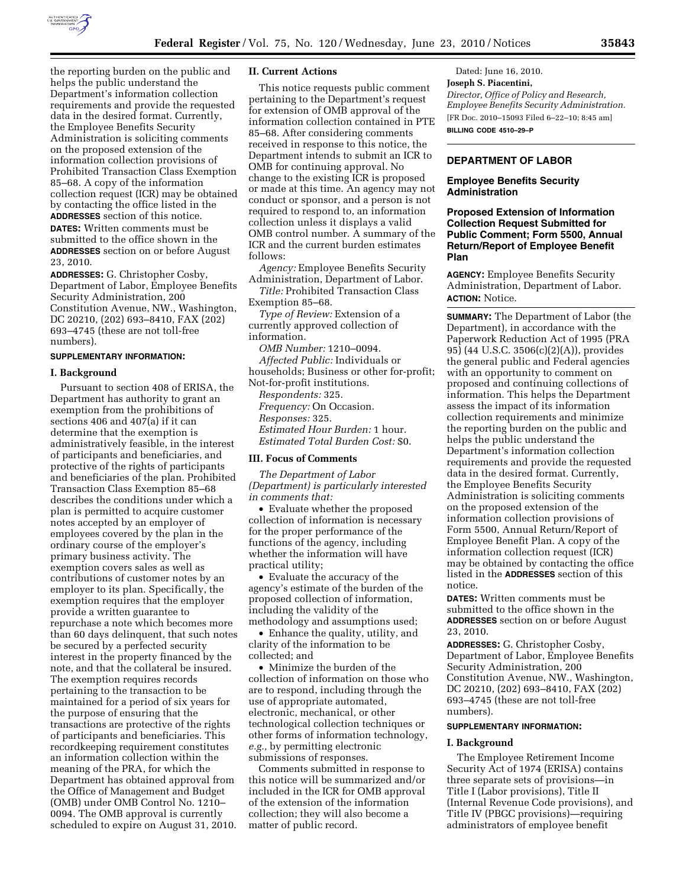

the reporting burden on the public and helps the public understand the Department's information collection requirements and provide the requested data in the desired format. Currently, the Employee Benefits Security Administration is soliciting comments on the proposed extension of the information collection provisions of Prohibited Transaction Class Exemption 85–68. A copy of the information collection request (ICR) may be obtained by contacting the office listed in the **ADDRESSES** section of this notice.

**DATES:** Written comments must be submitted to the office shown in the **ADDRESSES** section on or before August 23, 2010.

**ADDRESSES:** G. Christopher Cosby, Department of Labor, Employee Benefits Security Administration, 200 Constitution Avenue, NW., Washington, DC 20210, (202) 693–8410, FAX (202) 693–4745 (these are not toll-free numbers).

## **SUPPLEMENTARY INFORMATION:**

### **I. Background**

Pursuant to section 408 of ERISA, the Department has authority to grant an exemption from the prohibitions of sections 406 and 407(a) if it can determine that the exemption is administratively feasible, in the interest of participants and beneficiaries, and protective of the rights of participants and beneficiaries of the plan. Prohibited Transaction Class Exemption 85–68 describes the conditions under which a plan is permitted to acquire customer notes accepted by an employer of employees covered by the plan in the ordinary course of the employer's primary business activity. The exemption covers sales as well as contributions of customer notes by an employer to its plan. Specifically, the exemption requires that the employer provide a written guarantee to repurchase a note which becomes more than 60 days delinquent, that such notes be secured by a perfected security interest in the property financed by the note, and that the collateral be insured. The exemption requires records pertaining to the transaction to be maintained for a period of six years for the purpose of ensuring that the transactions are protective of the rights of participants and beneficiaries. This recordkeeping requirement constitutes an information collection within the meaning of the PRA, for which the Department has obtained approval from the Office of Management and Budget (OMB) under OMB Control No. 1210– 0094. The OMB approval is currently scheduled to expire on August 31, 2010.

## **II. Current Actions**

This notice requests public comment pertaining to the Department's request for extension of OMB approval of the information collection contained in PTE 85–68. After considering comments received in response to this notice, the Department intends to submit an ICR to OMB for continuing approval. No change to the existing ICR is proposed or made at this time. An agency may not conduct or sponsor, and a person is not required to respond to, an information collection unless it displays a valid OMB control number. A summary of the ICR and the current burden estimates follows:

*Agency:* Employee Benefits Security Administration, Department of Labor.

*Title:* Prohibited Transaction Class Exemption 85–68.

*Type of Review:* Extension of a currently approved collection of information.

*OMB Number:* 1210–0094. *Affected Public:* Individuals or households; Business or other for-profit; Not-for-profit institutions. *Respondents:* 325. *Frequency:* On Occasion.

*Responses:* 325. *Estimated Hour Burden:* 1 hour. *Estimated Total Burden Cost:* \$0.

#### **III. Focus of Comments**

*The Department of Labor (Department) is particularly interested in comments that:* 

• Evaluate whether the proposed collection of information is necessary for the proper performance of the functions of the agency, including whether the information will have practical utility;

• Evaluate the accuracy of the agency's estimate of the burden of the proposed collection of information, including the validity of the methodology and assumptions used;

• Enhance the quality, utility, and clarity of the information to be collected; and

• Minimize the burden of the collection of information on those who are to respond, including through the use of appropriate automated, electronic, mechanical, or other technological collection techniques or other forms of information technology, *e.g.,* by permitting electronic submissions of responses.

Comments submitted in response to this notice will be summarized and/or included in the ICR for OMB approval of the extension of the information collection; they will also become a matter of public record.

Dated: June 16, 2010. **Joseph S. Piacentini,**  *Director, Office of Policy and Research, Employee Benefits Security Administration.*  [FR Doc. 2010–15093 Filed 6–22–10; 8:45 am] **BILLING CODE 4510–29–P** 

## **DEPARTMENT OF LABOR**

# **Employee Benefits Security Administration**

# **Proposed Extension of Information Collection Request Submitted for Public Comment; Form 5500, Annual Return/Report of Employee Benefit Plan**

**AGENCY:** Employee Benefits Security Administration, Department of Labor. **ACTION:** Notice.

**SUMMARY:** The Department of Labor (the Department), in accordance with the Paperwork Reduction Act of 1995 (PRA 95) (44 U.S.C. 3506(c)(2)(A)), provides the general public and Federal agencies with an opportunity to comment on proposed and continuing collections of information. This helps the Department assess the impact of its information collection requirements and minimize the reporting burden on the public and helps the public understand the Department's information collection requirements and provide the requested data in the desired format. Currently, the Employee Benefits Security Administration is soliciting comments on the proposed extension of the information collection provisions of Form 5500, Annual Return/Report of Employee Benefit Plan. A copy of the information collection request (ICR) may be obtained by contacting the office listed in the **ADDRESSES** section of this notice.

**DATES:** Written comments must be submitted to the office shown in the **ADDRESSES** section on or before August 23, 2010.

**ADDRESSES:** G. Christopher Cosby, Department of Labor, Employee Benefits Security Administration, 200 Constitution Avenue, NW., Washington, DC 20210, (202) 693–8410, FAX (202) 693–4745 (these are not toll-free numbers).

### **SUPPLEMENTARY INFORMATION:**

#### **I. Background**

The Employee Retirement Income Security Act of 1974 (ERISA) contains three separate sets of provisions—in Title I (Labor provisions), Title II (Internal Revenue Code provisions), and Title IV (PBGC provisions)—requiring administrators of employee benefit